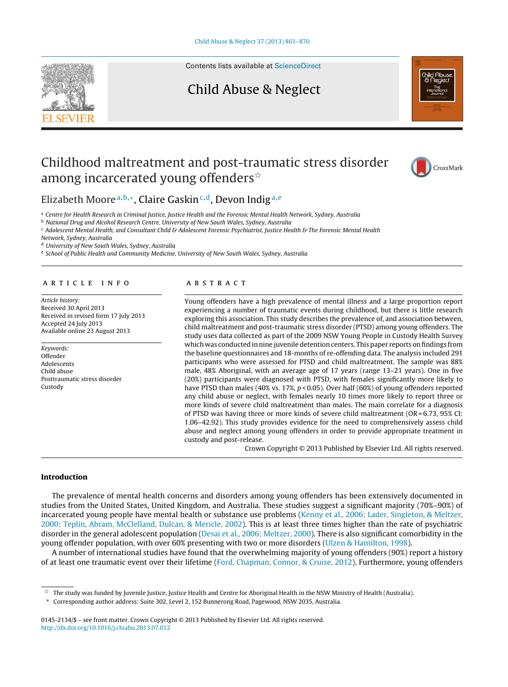

Contents lists available at [ScienceDirect](http://www.sciencedirect.com/science/journal/01452134)

### Child Abuse & Neglect



## Childhood maltreatment and post-traumatic stress disorder among incarcerated young offenders $^{\scriptscriptstyle\mathrm{\mathsf{\star}}}$



Elizabeth Moore<sup>a, b,∗</sup>, Claire Gaskin<sup>c, d</sup>, Devon Indig<sup>a, e</sup>

a Centre for Health Research in Criminal Justice, Justice Health and the Forensic Mental Health Network, Sydney, Australia

**b** National Drug and Alcohol Research Centre, University of New South Wales, Sydney, Australia

<sup>c</sup> Adolescent Mental Health, and Consultant Child & Adolescent Forensic Psychiatrist, Justice Health & The Forensic Mental Health Network, Sydney, Australia

<sup>d</sup> University of New South Wales, Sydney, Australia

<sup>e</sup> School of Public Health and Community Medicine, University of New South Wales, Sydney, Australia

#### a r t i c l e i n f o

Article history: Received 30 April 2013 Received in revised form 17 July 2013 Accepted 24 July 2013 Available online 23 August 2013

Keywords: Offender Adolescents Child abuse Posttraumatic stress disorder Custody

#### A B S T R A C T

Young offenders have a high prevalence of mental illness and a large proportion report experiencing a number of traumatic events during childhood, but there is little research exploring this association. This study describes the prevalence of, and association between, child maltreatment and post-traumatic stress disorder (PTSD) among young offenders. The study uses data collected as part of the 2009 NSW Young People in Custody Health Survey which was conducted in nine juvenile detention centers. This paper reports onfindings from the baseline questionnaires and 18-months of re-offending data. The analysis included 291 participants who were assessed for PTSD and child maltreatment. The sample was 88% male, 48% Aboriginal, with an average age of 17 years (range 13–21 years). One in five (20%) participants were diagnosed with PTSD, with females significantly more likely to have PTSD than males (40% vs. 17%,  $p < 0.05$ ). Over half (60%) of young offenders reported any child abuse or neglect, with females nearly 10 times more likely to report three or more kinds of severe child maltreatment than males. The main correlate for a diagnosis of PTSD was having three or more kinds of severe child maltreatment (OR =  $6.73$ ,  $95\%$  CI: 1.06–42.92). This study provides evidence for the need to comprehensively assess child abuse and neglect among young offenders in order to provide appropriate treatment in custody and post-release.

Crown Copyright © 2013 Published by Elsevier Ltd. All rights reserved.

#### **Introduction**

The prevalence of mental health concerns and disorders among young offenders has been extensively documented in studies from the United States, United Kingdom, and Australia. These studies suggest a significant majority (70%–90%) of incarcerated young people have mental health or substance use problems [\(Kenny](#page--1-0) et [al.,](#page--1-0) [2006;](#page--1-0) [Lader,](#page--1-0) [Singleton,](#page--1-0) [&](#page--1-0) [Meltzer,](#page--1-0) [2000;](#page--1-0) [Teplin,](#page--1-0) [Abram,](#page--1-0) [McClelland,](#page--1-0) [Dulcan,](#page--1-0) [&](#page--1-0) [Mericle,](#page--1-0) [2002\).](#page--1-0) This is at least three times higher than the rate of psychiatric disorder in the general adolescent population [\(Desai](#page--1-0) et [al.,](#page--1-0) [2006;](#page--1-0) [Meltzer,](#page--1-0) [2000\).](#page--1-0) There is also significant comorbidity in the young offender population, with over 60% presenting with two or more disorders [\(Ulzen](#page--1-0) [&](#page--1-0) [Hamilton,](#page--1-0) [1998\).](#page--1-0)

A number of international studies have found that the overwhelming majority of young offenders (90%) report a history of at least one traumatic event over their lifetime [\(Ford,](#page--1-0) [Chapman,](#page--1-0) [Connor,](#page--1-0) [&](#page--1-0) [Cruise,](#page--1-0) [2012\).](#page--1-0) Furthermore, young offenders

 $^\star$  The study was funded by Juvenile Justice, Justice Health and Centre for Aboriginal Health in the NSW Ministry of Health (Australia).

<sup>∗</sup> Corresponding author address: Suite 302, Level 2, 152 Bunnerong Road, Pagewood, NSW 2035, Australia.

<sup>0145-2134/\$</sup> – see front matter. Crown Copyright © 2013 Published by Elsevier Ltd. All rights reserved. [http://dx.doi.org/10.1016/j.chiabu.2013.07.012](dx.doi.org/10.1016/j.chiabu.2013.07.012)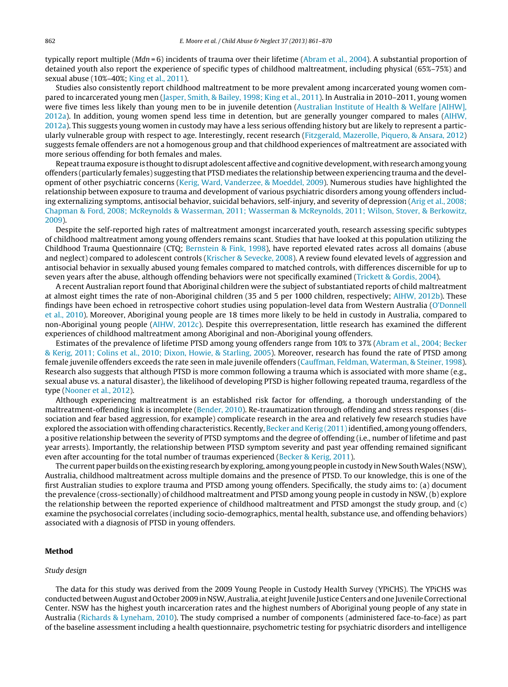typically report multiple ( $Mdn = 6$ ) incidents of trauma over their lifetime [\(Abram](#page--1-0) et [al.,](#page--1-0) [2004\).](#page--1-0) A substantial proportion of detained youth also report the experience of specific types of childhood maltreatment, including physical (65%–75%) and sexual abuse (10%–40%; [King](#page--1-0) et [al.,](#page--1-0) [2011\).](#page--1-0)

Studies also consistently report childhood maltreatment to be more prevalent among incarcerated young women compared to incarcerated young men ([Jasper,](#page--1-0) [Smith,](#page--1-0) [&](#page--1-0) [Bailey,](#page--1-0) [1998;](#page--1-0) [King](#page--1-0) et [al.,](#page--1-0) [2011\).](#page--1-0) In Australia in 2010–2011, young women were five times less likely than young men to be in juvenile detention ([Australian](#page--1-0) [Institute](#page--1-0) [of](#page--1-0) [Health](#page--1-0) [&](#page--1-0) [Welfare](#page--1-0) [\[AIHW\],](#page--1-0) [2012a\).](#page--1-0) In addition, young women spend less time in detention, but are generally younger compared to males ([AIHW,](#page--1-0) [2012a\).](#page--1-0) This suggests young women in custody may have a less serious offending history but are likely to represent a particularly vulnerable group with respect to age. Interestingly, recent research ([Fitzgerald,](#page--1-0) [Mazerolle,](#page--1-0) [Piquero,](#page--1-0) [&](#page--1-0) [Ansara,](#page--1-0) [2012\)](#page--1-0) suggests female offenders are not a homogenous group and that childhood experiences of maltreatment are associated with more serious offending for both females and males.

Repeat trauma exposure is thought to disrupt adolescent affective and cognitive development, with research among young offenders (particularly females) suggesting that PTSD mediates the relationship between experiencing trauma and the development of other psychiatric concerns ([Kerig,](#page--1-0) [Ward,](#page--1-0) [Vanderzee,](#page--1-0) [&](#page--1-0) [Moeddel,](#page--1-0) [2009\).](#page--1-0) Numerous studies have highlighted the relationship between exposure to trauma and development of various psychiatric disorders among young offenders including externalizing symptoms, antisocial behavior, suicidal behaviors, self-injury, and severity of depression [\(Arig](#page--1-0) et [al.,](#page--1-0) [2008;](#page--1-0) [Chapman](#page--1-0) [&](#page--1-0) [Ford,](#page--1-0) [2008;](#page--1-0) [McReynolds](#page--1-0) [&](#page--1-0) [Wasserman,](#page--1-0) [2011;](#page--1-0) [Wasserman](#page--1-0) [&](#page--1-0) [McReynolds,](#page--1-0) [2011;](#page--1-0) [Wilson,](#page--1-0) [Stover,](#page--1-0) [&](#page--1-0) [Berkowitz,](#page--1-0) [2009\).](#page--1-0)

Despite the self-reported high rates of maltreatment amongst incarcerated youth, research assessing specific subtypes of childhood maltreatment among young offenders remains scant. Studies that have looked at this population utilizing the Childhood Trauma Questionnaire (CTQ; [Bernstein](#page--1-0) [&](#page--1-0) [Fink,](#page--1-0) [1998\),](#page--1-0) have reported elevated rates across all domains (abuse and neglect) compared to adolescent controls ([Krischer](#page--1-0) [&](#page--1-0) [Sevecke,](#page--1-0) [2008\).](#page--1-0) A review found elevated levels of aggression and antisocial behavior in sexually abused young females compared to matched controls, with differences discernible for up to seven years after the abuse, although offending behaviors were not specifically examined ([Trickett](#page--1-0) [&](#page--1-0) [Gordis,](#page--1-0) [2004\).](#page--1-0)

A recent Australian report found that Aboriginal children were the subject of substantiated reports of child maltreatment at almost eight times the rate of non-Aboriginal children (35 and 5 per 1000 children, respectively; [AIHW,](#page--1-0) [2012b\).](#page--1-0) These findings have been echoed in retrospective cohort studies using population-level data from Western Australia ([O'Donnell](#page--1-0) et [al.,](#page--1-0) [2010\).](#page--1-0) Moreover, Aboriginal young people are 18 times more likely to be held in custody in Australia, compared to non-Aboriginal young people [\(AIHW,](#page--1-0) [2012c\).](#page--1-0) Despite this overrepresentation, little research has examined the different experiences of childhood maltreatment among Aboriginal and non-Aboriginal young offenders.

Estimates of the prevalence of lifetime PTSD among young offenders range from 10% to 37% [\(Abram](#page--1-0) et [al.,](#page--1-0) [2004;](#page--1-0) [Becker](#page--1-0) [&](#page--1-0) [Kerig,](#page--1-0) [2011;](#page--1-0) [Colins](#page--1-0) et [al.,](#page--1-0) [2010;](#page--1-0) [Dixon,](#page--1-0) [Howie,](#page--1-0) [&](#page--1-0) [Starling,](#page--1-0) [2005\).](#page--1-0) Moreover, research has found the rate of PTSD among female juvenile offenders exceeds the rate seen in male juvenile offenders ([Cauffman,](#page--1-0) [Feldman,](#page--1-0) [Waterman,](#page--1-0) [&](#page--1-0) [Steiner,](#page--1-0) [1998\).](#page--1-0) Research also suggests that although PTSD is more common following a trauma which is associated with more shame (e.g., sexual abuse vs. a natural disaster), the likelihood of developing PTSD is higher following repeated trauma, regardless of the type [\(Nooner](#page--1-0) et [al.,](#page--1-0) [2012\).](#page--1-0)

Although experiencing maltreatment is an established risk factor for offending, a thorough understanding of the maltreatment-offending link is incomplete [\(Bender,](#page--1-0) [2010\).](#page--1-0) Re-traumatization through offending and stress responses (dissociation and fear based aggression, for example) complicate research in the area and relatively few research studies have explored the association with offending characteristics. Recently, [Becker](#page--1-0) [and](#page--1-0) [Kerig](#page--1-0) (2011) identified, among young offenders, a positive relationship between the severity of PTSD symptoms and the degree of offending (i.e., number of lifetime and past year arrests). Importantly, the relationship between PTSD symptom severity and past year offending remained significant even after accounting for the total number of traumas experienced [\(Becker](#page--1-0) [&](#page--1-0) [Kerig,](#page--1-0) [2011\).](#page--1-0)

The current paper builds on the existing research by exploring, among young people in custody in New South Wales (NSW), Australia, childhood maltreatment across multiple domains and the presence of PTSD. To our knowledge, this is one of the first Australian studies to explore trauma and PTSD among young offenders. Specifically, the study aims to: (a) document the prevalence (cross-sectionally) of childhood maltreatment and PTSD among young people in custody in NSW, (b) explore the relationship between the reported experience of childhood maltreatment and PTSD amongst the study group, and (c) examine the psychosocial correlates (including socio-demographics, mental health, substance use, and offending behaviors) associated with a diagnosis of PTSD in young offenders.

#### **Method**

#### Study design

The data for this study was derived from the 2009 Young People in Custody Health Survey (YPiCHS). The YPiCHS was conducted between August and October 2009 in NSW, Australia, at eight Juvenile Justice Centers and one Juvenile Correctional Center. NSW has the highest youth incarceration rates and the highest numbers of Aboriginal young people of any state in Australia [\(Richards](#page--1-0) [&](#page--1-0) [Lyneham,](#page--1-0) [2010\).](#page--1-0) The study comprised a number of components (administered face-to-face) as part of the baseline assessment including a health questionnaire, psychometric testing for psychiatric disorders and intelligence